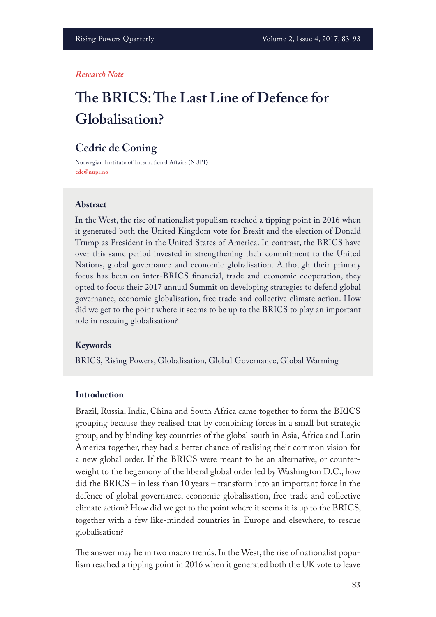#### *Research Note*

# **Te BRICS: Te Last Line of Defence for Globalisation?**

## **Cedric de Coning**

Norwegian Institute of International Affairs (NUPI) **cdc@nupi.no**

#### **Abstract**

In the West, the rise of nationalist populism reached a tipping point in 2016 when it generated both the United Kingdom vote for Brexit and the election of Donald Trump as President in the United States of America. In contrast, the BRICS have over this same period invested in strengthening their commitment to the United Nations, global governance and economic globalisation. Although their primary focus has been on inter-BRICS fnancial, trade and economic cooperation, they opted to focus their 2017 annual Summit on developing strategies to defend global governance, economic globalisation, free trade and collective climate action. How did we get to the point where it seems to be up to the BRICS to play an important role in rescuing globalisation?

#### **Keywords**

BRICS, Rising Powers, Globalisation, Global Governance, Global Warming

#### **Introduction**

Brazil, Russia, India, China and South Africa came together to form the BRICS grouping because they realised that by combining forces in a small but strategic group, and by binding key countries of the global south in Asia, Africa and Latin America together, they had a better chance of realising their common vision for a new global order. If the BRICS were meant to be an alternative, or counterweight to the hegemony of the liberal global order led by Washington D.C., how did the BRICS – in less than 10 years – transform into an important force in the defence of global governance, economic globalisation, free trade and collective climate action? How did we get to the point where it seems it is up to the BRICS, together with a few like-minded countries in Europe and elsewhere, to rescue globalisation?

The answer may lie in two macro trends. In the West, the rise of nationalist populism reached a tipping point in 2016 when it generated both the UK vote to leave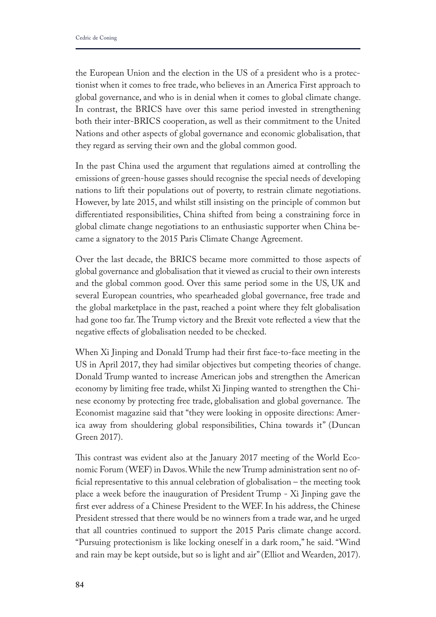the European Union and the election in the US of a president who is a protectionist when it comes to free trade, who believes in an America First approach to global governance, and who is in denial when it comes to global climate change. In contrast, the BRICS have over this same period invested in strengthening both their inter-BRICS cooperation, as well as their commitment to the United Nations and other aspects of global governance and economic globalisation, that they regard as serving their own and the global common good.

In the past China used the argument that regulations aimed at controlling the emissions of green-house gasses should recognise the special needs of developing nations to lift their populations out of poverty, to restrain climate negotiations. However, by late 2015, and whilst still insisting on the principle of common but diferentiated responsibilities, China shifted from being a constraining force in global climate change negotiations to an enthusiastic supporter when China became a signatory to the 2015 Paris Climate Change Agreement.

Over the last decade, the BRICS became more committed to those aspects of global governance and globalisation that it viewed as crucial to their own interests and the global common good. Over this same period some in the US, UK and several European countries, who spearheaded global governance, free trade and the global marketplace in the past, reached a point where they felt globalisation had gone too far. The Trump victory and the Brexit vote reflected a view that the negative efects of globalisation needed to be checked.

When Xi Jinping and Donald Trump had their frst face-to-face meeting in the US in April 2017, they had similar objectives but competing theories of change. Donald Trump wanted to increase American jobs and strengthen the American economy by limiting free trade, whilst Xi Jinping wanted to strengthen the Chinese economy by protecting free trade, globalisation and global governance. The Economist magazine said that "they were looking in opposite directions: America away from shouldering global responsibilities, China towards it" (Duncan Green 2017).

This contrast was evident also at the January 2017 meeting of the World Economic Forum (WEF) in Davos. While the new Trump administration sent no official representative to this annual celebration of globalisation - the meeting took place a week before the inauguration of President Trump - Xi Jinping gave the frst ever address of a Chinese President to the WEF. In his address, the Chinese President stressed that there would be no winners from a trade war, and he urged that all countries continued to support the 2015 Paris climate change accord. "Pursuing protectionism is like locking oneself in a dark room," he said. "Wind and rain may be kept outside, but so is light and air" (Elliot and Wearden, 2017).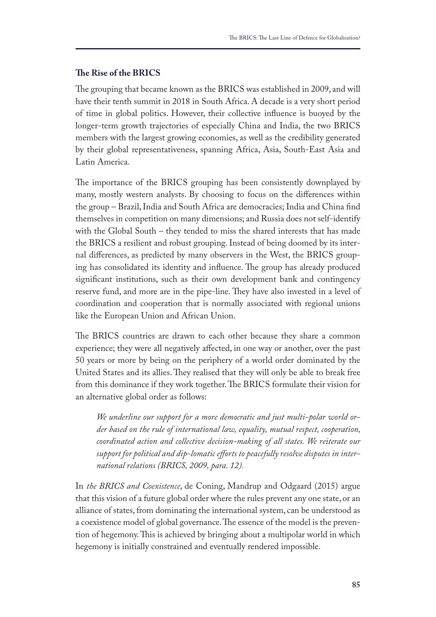## **Te Rise of the BRICS**

The grouping that became known as the BRICS was established in 2009, and will have their tenth summit in 2018 in South Africa. A decade is a very short period of time in global politics. However, their collective infuence is buoyed by the longer-term growth trajectories of especially China and India, the two BRICS members with the largest growing economies, as well as the credibility generated by their global representativeness, spanning Africa, Asia, South-East Asia and Latin America.

The importance of the BRICS grouping has been consistently downplayed by many, mostly western analysts. By choosing to focus on the diferences within the group – Brazil, India and South Africa are democracies; India and China fnd themselves in competition on many dimensions; and Russia does not self-identify with the Global South – they tended to miss the shared interests that has made the BRICS a resilient and robust grouping. Instead of being doomed by its internal diferences, as predicted by many observers in the West, the BRICS grouping has consolidated its identity and influence. The group has already produced signifcant institutions, such as their own development bank and contingency reserve fund, and more are in the pipe-line. They have also invested in a level of coordination and cooperation that is normally associated with regional unions like the European Union and African Union.

The BRICS countries are drawn to each other because they share a common experience; they were all negatively afected, in one way or another, over the past 50 years or more by being on the periphery of a world order dominated by the United States and its allies. They realised that they will only be able to break free from this dominance if they work together. The BRICS formulate their vision for an alternative global order as follows:

*We underline our support for a more democratic and just multi-polar world order based on the rule of international law, equality, mutual respect, cooperation, coordinated action and collective decision-making of all states. We reiterate our support for political and dip-lomatic eforts to peacefully resolve disputes in international relations (BRICS, 2009, para. 12).*

In *the BRICS and Coexistence*, de Coning, Mandrup and Odgaard (2015) argue that this vision of a future global order where the rules prevent any one state, or an alliance of states, from dominating the international system, can be understood as a coexistence model of global governance. The essence of the model is the prevention of hegemony. This is achieved by bringing about a multipolar world in which hegemony is initially constrained and eventually rendered impossible.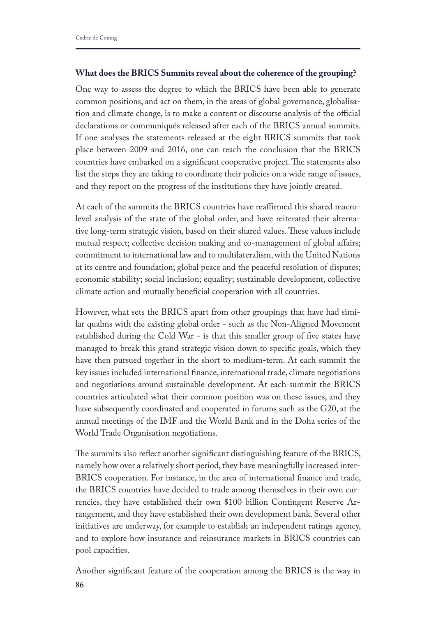## **What does the BRICS Summits reveal about the coherence of the grouping?**

One way to assess the degree to which the BRICS have been able to generate common positions, and act on them, in the areas of global governance, globalisation and climate change, is to make a content or discourse analysis of the official declarations or communiqués released after each of the BRICS annual summits. If one analyses the statements released at the eight BRICS summits that took place between 2009 and 2016, one can reach the conclusion that the BRICS countries have embarked on a significant cooperative project. The statements also list the steps they are taking to coordinate their policies on a wide range of issues, and they report on the progress of the institutions they have jointly created.

At each of the summits the BRICS countries have reaffirmed this shared macrolevel analysis of the state of the global order, and have reiterated their alternative long-term strategic vision, based on their shared values. These values include mutual respect; collective decision making and co-management of global affairs; commitment to international law and to multilateralism, with the United Nations at its centre and foundation; global peace and the peaceful resolution of disputes; economic stability; social inclusion; equality; sustainable development, collective climate action and mutually benefcial cooperation with all countries.

However, what sets the BRICS apart from other groupings that have had similar qualms with the existing global order - such as the Non-Aligned Movement established during the Cold War - is that this smaller group of fve states have managed to break this grand strategic vision down to specifc goals, which they have then pursued together in the short to medium-term. At each summit the key issues included international fnance, international trade, climate negotiations and negotiations around sustainable development. At each summit the BRICS countries articulated what their common position was on these issues, and they have subsequently coordinated and cooperated in forums such as the G20, at the annual meetings of the IMF and the World Bank and in the Doha series of the World Trade Organisation negotiations.

The summits also reflect another significant distinguishing feature of the BRICS, namely how over a relatively short period, they have meaningfully increased inter-BRICS cooperation. For instance, in the area of international fnance and trade, the BRICS countries have decided to trade among themselves in their own currencies, they have established their own \$100 billion Contingent Reserve Arrangement, and they have established their own development bank. Several other initiatives are underway, for example to establish an independent ratings agency, and to explore how insurance and reinsurance markets in BRICS countries can pool capacities.

Another signifcant feature of the cooperation among the BRICS is the way in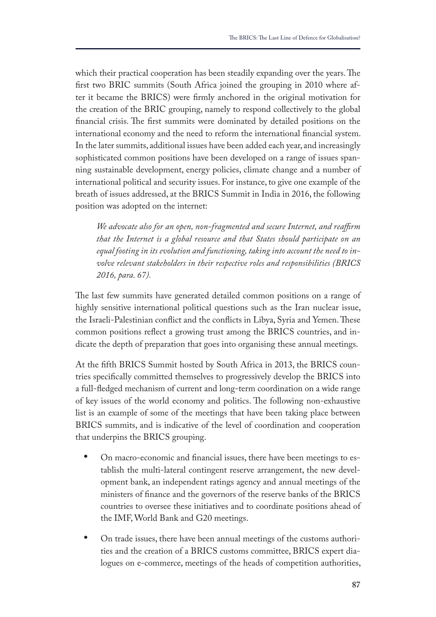which their practical cooperation has been steadily expanding over the years. The frst two BRIC summits (South Africa joined the grouping in 2010 where after it became the BRICS) were frmly anchored in the original motivation for the creation of the BRIC grouping, namely to respond collectively to the global financial crisis. The first summits were dominated by detailed positions on the international economy and the need to reform the international fnancial system. In the later summits, additional issues have been added each year, and increasingly sophisticated common positions have been developed on a range of issues spanning sustainable development, energy policies, climate change and a number of international political and security issues. For instance, to give one example of the breath of issues addressed, at the BRICS Summit in India in 2016, the following position was adopted on the internet:

*We advocate also for an open, non-fragmented and secure Internet, and reafrm that the Internet is a global resource and that States should participate on an equal footing in its evolution and functioning, taking into account the need to involve relevant stakeholders in their respective roles and responsibilities (BRICS 2016, para. 67).* 

The last few summits have generated detailed common positions on a range of highly sensitive international political questions such as the Iran nuclear issue, the Israeli-Palestinian conflict and the conflicts in Libya, Syria and Yemen. These common positions refect a growing trust among the BRICS countries, and indicate the depth of preparation that goes into organising these annual meetings.

At the ffth BRICS Summit hosted by South Africa in 2013, the BRICS countries specifcally committed themselves to progressively develop the BRICS into a full-fedged mechanism of current and long-term coordination on a wide range of key issues of the world economy and politics. The following non-exhaustive list is an example of some of the meetings that have been taking place between BRICS summits, and is indicative of the level of coordination and cooperation that underpins the BRICS grouping.

- **•** On macro-economic and fnancial issues, there have been meetings to establish the multi-lateral contingent reserve arrangement, the new development bank, an independent ratings agency and annual meetings of the ministers of fnance and the governors of the reserve banks of the BRICS countries to oversee these initiatives and to coordinate positions ahead of the IMF, World Bank and G20 meetings.
- **•** On trade issues, there have been annual meetings of the customs authorities and the creation of a BRICS customs committee, BRICS expert dialogues on e-commerce, meetings of the heads of competition authorities,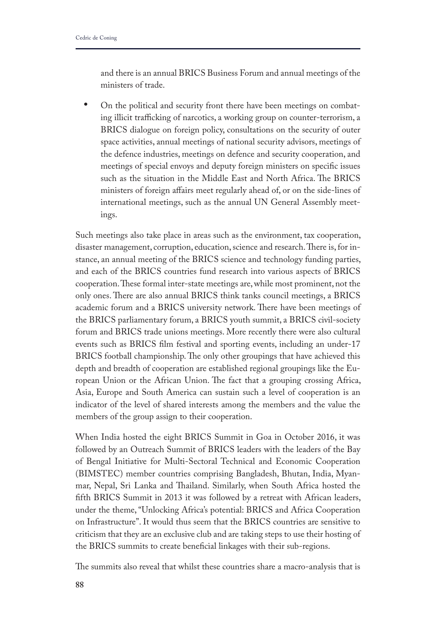and there is an annual BRICS Business Forum and annual meetings of the ministers of trade.

**•** On the political and security front there have been meetings on combating illicit trafficking of narcotics, a working group on counter-terrorism, a BRICS dialogue on foreign policy, consultations on the security of outer space activities, annual meetings of national security advisors, meetings of the defence industries, meetings on defence and security cooperation, and meetings of special envoys and deputy foreign ministers on specifc issues such as the situation in the Middle East and North Africa. The BRICS ministers of foreign afairs meet regularly ahead of, or on the side-lines of international meetings, such as the annual UN General Assembly meetings.

Such meetings also take place in areas such as the environment, tax cooperation, disaster management, corruption, education, science and research. There is, for instance, an annual meeting of the BRICS science and technology funding parties, and each of the BRICS countries fund research into various aspects of BRICS cooperation. These formal inter-state meetings are, while most prominent, not the only ones. There are also annual BRICS think tanks council meetings, a BRICS academic forum and a BRICS university network. There have been meetings of the BRICS parliamentary forum, a BRICS youth summit, a BRICS civil-society forum and BRICS trade unions meetings. More recently there were also cultural events such as BRICS flm festival and sporting events, including an under-17 BRICS football championship. The only other groupings that have achieved this depth and breadth of cooperation are established regional groupings like the European Union or the African Union. The fact that a grouping crossing Africa, Asia, Europe and South America can sustain such a level of cooperation is an indicator of the level of shared interests among the members and the value the members of the group assign to their cooperation.

When India hosted the eight BRICS Summit in Goa in October 2016, it was followed by an Outreach Summit of BRICS leaders with the leaders of the Bay of Bengal Initiative for Multi-Sectoral Technical and Economic Cooperation (BIMSTEC) member countries comprising Bangladesh, Bhutan, India, Myanmar, Nepal, Sri Lanka and Thailand. Similarly, when South Africa hosted the ffth BRICS Summit in 2013 it was followed by a retreat with African leaders, under the theme, "Unlocking Africa's potential: BRICS and Africa Cooperation on Infrastructure". It would thus seem that the BRICS countries are sensitive to criticism that they are an exclusive club and are taking steps to use their hosting of the BRICS summits to create benefcial linkages with their sub-regions.

The summits also reveal that whilst these countries share a macro-analysis that is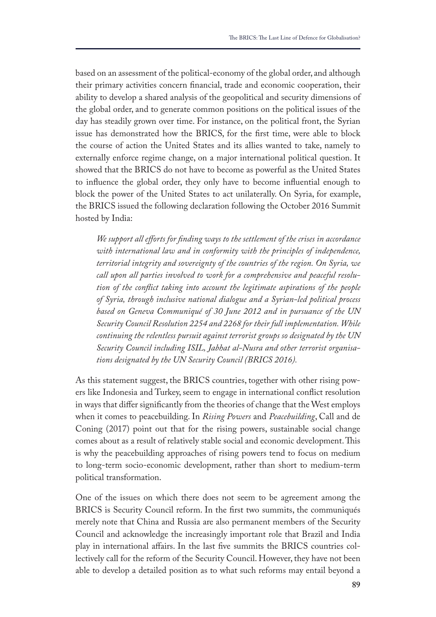based on an assessment of the political-economy of the global order, and although their primary activities concern fnancial, trade and economic cooperation, their ability to develop a shared analysis of the geopolitical and security dimensions of the global order, and to generate common positions on the political issues of the day has steadily grown over time. For instance, on the political front, the Syrian issue has demonstrated how the BRICS, for the frst time, were able to block the course of action the United States and its allies wanted to take, namely to externally enforce regime change, on a major international political question. It showed that the BRICS do not have to become as powerful as the United States to infuence the global order, they only have to become infuential enough to block the power of the United States to act unilaterally. On Syria, for example, the BRICS issued the following declaration following the October 2016 Summit hosted by India:

*We support all eforts for fnding ways to the settlement of the crises in accordance with international law and in conformity with the principles of independence, territorial integrity and sovereignty of the countries of the region. On Syria, we call upon all parties involved to work for a comprehensive and peaceful resolution of the confict taking into account the legitimate aspirations of the people of Syria, through inclusive national dialogue and a Syrian-led political process based on Geneva Communiqué of 30 June 2012 and in pursuance of the UN Security Council Resolution 2254 and 2268 for their full implementation. While continuing the relentless pursuit against terrorist groups so designated by the UN Security Council including ISIL, Jabhat al-Nusra and other terrorist organisations designated by the UN Security Council (BRICS 2016).* 

As this statement suggest, the BRICS countries, together with other rising powers like Indonesia and Turkey, seem to engage in international confict resolution in ways that difer signifcantly from the theories of change that the West employs when it comes to peacebuilding. In *Rising Powers* and *Peacebuilding*, Call and de Coning (2017) point out that for the rising powers, sustainable social change comes about as a result of relatively stable social and economic development. This is why the peacebuilding approaches of rising powers tend to focus on medium to long-term socio-economic development, rather than short to medium-term political transformation.

One of the issues on which there does not seem to be agreement among the BRICS is Security Council reform. In the frst two summits, the communiqués merely note that China and Russia are also permanent members of the Security Council and acknowledge the increasingly important role that Brazil and India play in international afairs. In the last fve summits the BRICS countries collectively call for the reform of the Security Council. However, they have not been able to develop a detailed position as to what such reforms may entail beyond a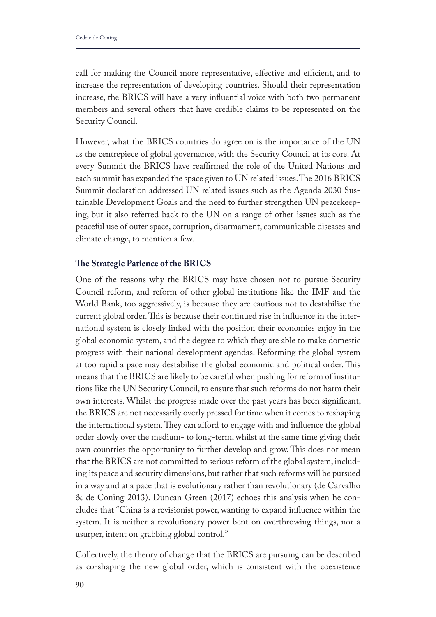call for making the Council more representative, effective and efficient, and to increase the representation of developing countries. Should their representation increase, the BRICS will have a very infuential voice with both two permanent members and several others that have credible claims to be represented on the Security Council.

However, what the BRICS countries do agree on is the importance of the UN as the centrepiece of global governance, with the Security Council at its core. At every Summit the BRICS have reafrmed the role of the United Nations and each summit has expanded the space given to UN related issues. The 2016 BRICS Summit declaration addressed UN related issues such as the Agenda 2030 Sustainable Development Goals and the need to further strengthen UN peacekeeping, but it also referred back to the UN on a range of other issues such as the peaceful use of outer space, corruption, disarmament, communicable diseases and climate change, to mention a few.

### **Te Strategic Patience of the BRICS**

One of the reasons why the BRICS may have chosen not to pursue Security Council reform, and reform of other global institutions like the IMF and the World Bank, too aggressively, is because they are cautious not to destabilise the current global order. This is because their continued rise in influence in the international system is closely linked with the position their economies enjoy in the global economic system, and the degree to which they are able to make domestic progress with their national development agendas. Reforming the global system at too rapid a pace may destabilise the global economic and political order. This means that the BRICS are likely to be careful when pushing for reform of institutions like the UN Security Council, to ensure that such reforms do not harm their own interests. Whilst the progress made over the past years has been signifcant, the BRICS are not necessarily overly pressed for time when it comes to reshaping the international system. They can afford to engage with and influence the global order slowly over the medium- to long-term, whilst at the same time giving their own countries the opportunity to further develop and grow. This does not mean that the BRICS are not committed to serious reform of the global system, including its peace and security dimensions, but rather that such reforms will be pursued in a way and at a pace that is evolutionary rather than revolutionary (de Carvalho & de Coning 2013). Duncan Green (2017) echoes this analysis when he concludes that "China is a revisionist power, wanting to expand infuence within the system. It is neither a revolutionary power bent on overthrowing things, nor a usurper, intent on grabbing global control."

Collectively, the theory of change that the BRICS are pursuing can be described as co-shaping the new global order, which is consistent with the coexistence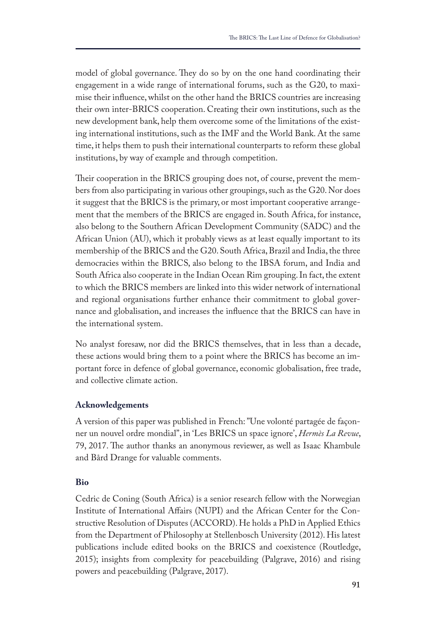model of global governance. They do so by on the one hand coordinating their engagement in a wide range of international forums, such as the G20, to maximise their infuence, whilst on the other hand the BRICS countries are increasing their own inter-BRICS cooperation. Creating their own institutions, such as the new development bank, help them overcome some of the limitations of the existing international institutions, such as the IMF and the World Bank. At the same time, it helps them to push their international counterparts to reform these global institutions, by way of example and through competition.

Their cooperation in the BRICS grouping does not, of course, prevent the members from also participating in various other groupings, such as the G20. Nor does it suggest that the BRICS is the primary, or most important cooperative arrangement that the members of the BRICS are engaged in. South Africa, for instance, also belong to the Southern African Development Community (SADC) and the African Union (AU), which it probably views as at least equally important to its membership of the BRICS and the G20. South Africa, Brazil and India, the three democracies within the BRICS, also belong to the IBSA forum, and India and South Africa also cooperate in the Indian Ocean Rim grouping. In fact, the extent to which the BRICS members are linked into this wider network of international and regional organisations further enhance their commitment to global governance and globalisation, and increases the infuence that the BRICS can have in the international system.

No analyst foresaw, nor did the BRICS themselves, that in less than a decade, these actions would bring them to a point where the BRICS has become an important force in defence of global governance, economic globalisation, free trade, and collective climate action.

### **Acknowledgements**

A version of this paper was published in French: "Une volonté partagée de façonner un nouvel ordre mondial", in 'Les BRICS un space ignore', *Hermès La Revue*, 79, 2017. The author thanks an anonymous reviewer, as well as Isaac Khambule and Bård Drange for valuable comments.

### **Bio**

Cedric de Coning (South Africa) is a senior research fellow with the Norwegian Institute of International Afairs (NUPI) and the African Center for the Constructive Resolution of Disputes (ACCORD). He holds a PhD in Applied Ethics from the Department of Philosophy at Stellenbosch University (2012). His latest publications include edited books on the BRICS and coexistence (Routledge, 2015); insights from complexity for peacebuilding (Palgrave, 2016) and rising powers and peacebuilding (Palgrave, 2017).